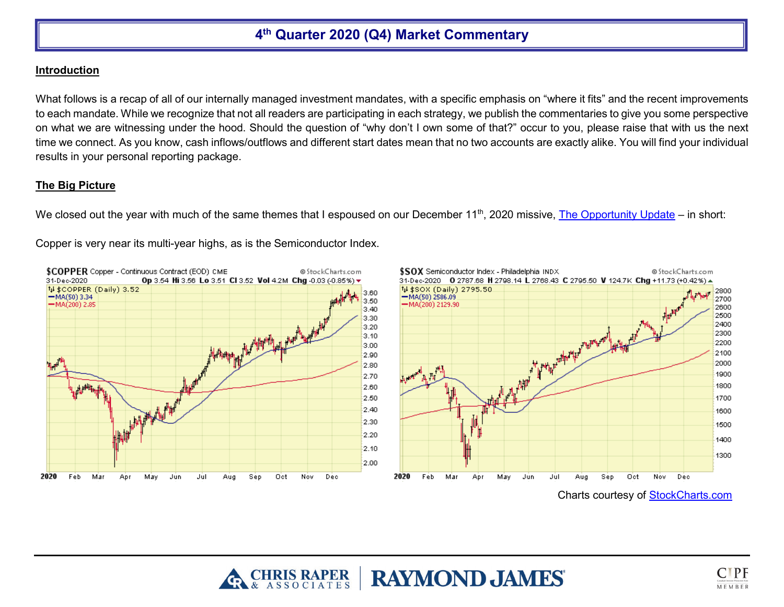## **4th Quarter 2020 (Q4) Market Commentary**

## **Introduction**

What follows is a recap of all of our internally managed investment mandates, with a specific emphasis on "where it fits" and the recent improvements to each mandate. While we recognize that not all readers are participating in each strategy, we publish the commentaries to give you some perspective on what we are witnessing under the hood. Should the question of "why don't I own some of that?" occur to you, please raise that with us the next time we connect. As you know, cash inflows/outflows and different start dates mean that no two accounts are exactly alike. You will find your individual results in your personal reporting package.

## **The Big Picture**

We closed out the year with much of the same themes that I espoused on our December 11<sup>th</sup>, 2020 missive, [The Opportunity Update](http://www.chrisraper.com/the-opportunity-update.aspx) – in short:

Copper is very near its multi-year highs, as is the Semiconductor Index.



Charts courtesy of [StockCharts.com](https://stockcharts.com/)

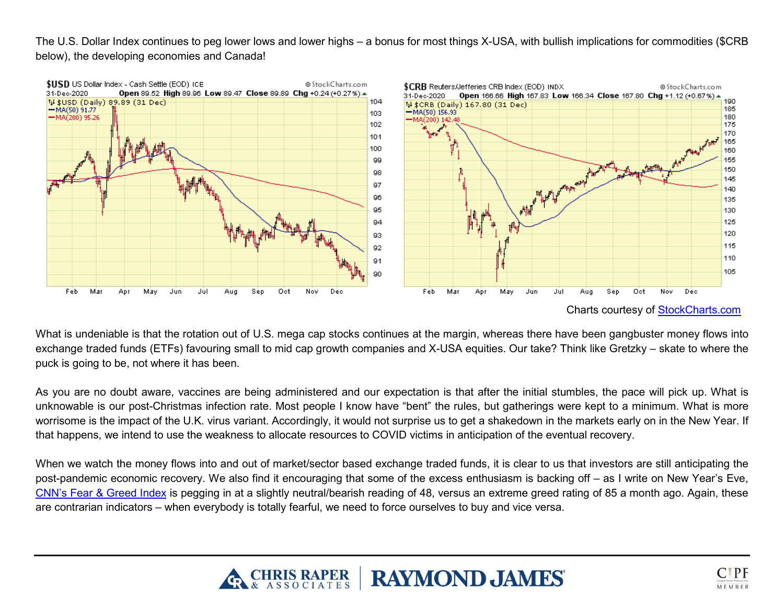The U.S. Dollar Index continues to peg lower lows and lower highs – a bonus for most things X-USA, with bullish implications for commodities (\$CRB below), the developing economies and Canada!



Charts courtesy of [StockCharts.com](https://stockcharts.com/)

What is undeniable is that the rotation out of U.S. mega cap stocks continues at the margin, whereas there have been gangbuster money flows into exchange traded funds (ETFs) favouring small to mid cap growth companies and X-USA equities. Our take? Think like Gretzky – skate to where the puck is going to be, not where it has been.

As you are no doubt aware, vaccines are being administered and our expectation is that after the initial stumbles, the pace will pick up. What is unknowable is our post-Christmas infection rate. Most people I know have "bent" the rules, but gatherings were kept to a minimum. What is more worrisome is the impact of the U.K. virus variant. Accordingly, it would not surprise us to get a shakedown in the markets early on in the New Year. If that happens, we intend to use the weakness to allocate resources to COVID victims in anticipation of the eventual recovery.

When we watch the money flows into and out of market/sector based exchange traded funds, it is clear to us that investors are still anticipating the post-pandemic economic recovery. We also find it encouraging that some of the excess enthusiasm is backing off – as I write on New Year's Eve, [CNN's Fear & Greed](https://money.cnn.com/data/fear-and-greed/) Index is pegging in at a slightly neutral/bearish reading of 48, versus an extreme greed rating of 85 a month ago. Again, these are contrarian indicators – when everybody is totally fearful, we need to force ourselves to buy and vice versa.



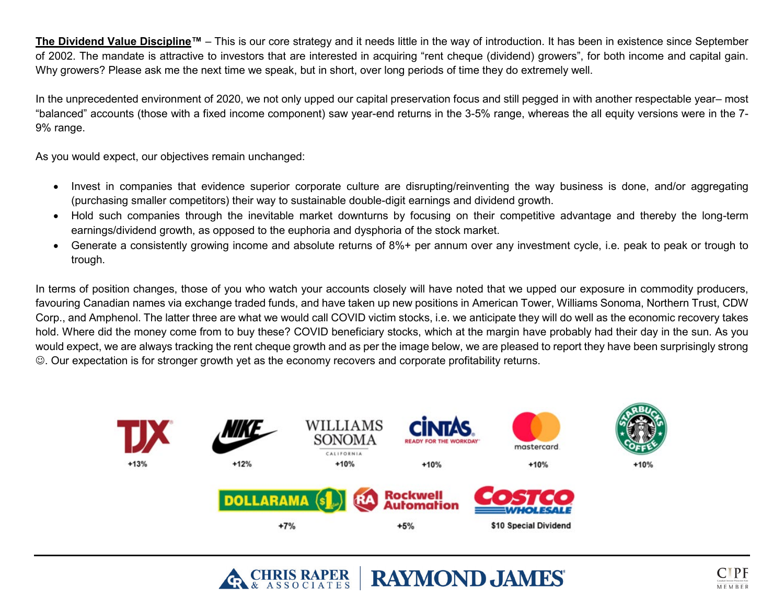**The Dividend Value Discipline™** – This is our core strategy and it needs little in the way of introduction. It has been in existence since September of 2002. The mandate is attractive to investors that are interested in acquiring "rent cheque (dividend) growers", for both income and capital gain. Why growers? Please ask me the next time we speak, but in short, over long periods of time they do extremely well.

In the unprecedented environment of 2020, we not only upped our capital preservation focus and still pegged in with another respectable year– most "balanced" accounts (those with a fixed income component) saw year-end returns in the 3-5% range, whereas the all equity versions were in the 7- 9% range.

As you would expect, our objectives remain unchanged:

- Invest in companies that evidence superior corporate culture are disrupting/reinventing the way business is done, and/or aggregating (purchasing smaller competitors) their way to sustainable double-digit earnings and dividend growth.
- Hold such companies through the inevitable market downturns by focusing on their competitive advantage and thereby the long-term earnings/dividend growth, as opposed to the euphoria and dysphoria of the stock market.
- Generate a consistently growing income and absolute returns of 8%+ per annum over any investment cycle, i.e. peak to peak or trough to trough.

In terms of position changes, those of you who watch your accounts closely will have noted that we upped our exposure in commodity producers, favouring Canadian names via exchange traded funds, and have taken up new positions in American Tower, Williams Sonoma, Northern Trust, CDW Corp., and Amphenol. The latter three are what we would call COVID victim stocks, i.e. we anticipate they will do well as the economic recovery takes hold. Where did the money come from to buy these? COVID beneficiary stocks, which at the margin have probably had their day in the sun. As you would expect, we are always tracking the rent cheque growth and as per the image below, we are pleased to report they have been surprisingly strong . Our expectation is for stronger growth yet as the economy recovers and corporate profitability returns.



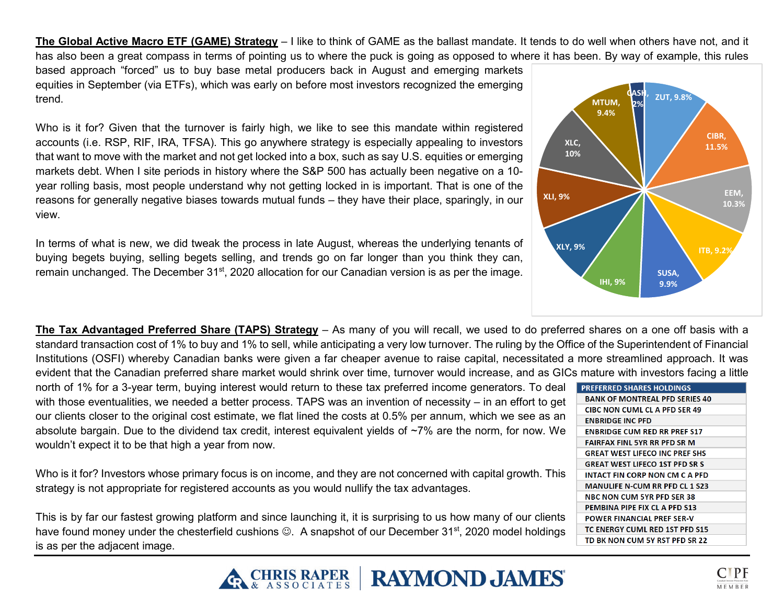**The Global Active Macro ETF (GAME) Strategy** – I like to think of GAME as the ballast mandate. It tends to do well when others have not, and it has also been a great compass in terms of pointing us to where the puck is going as opposed to where it has been. By way of example, this rules

based approach "forced" us to buy base metal producers back in August and emerging markets equities in September (via ETFs), which was early on before most investors recognized the emerging trend.

Who is it for? Given that the turnover is fairly high, we like to see this mandate within registered accounts (i.e. RSP, RIF, IRA, TFSA). This go anywhere strategy is especially appealing to investors that want to move with the market and not get locked into a box, such as say U.S. equities or emerging markets debt. When I site periods in history where the S&P 500 has actually been negative on a 10 year rolling basis, most people understand why not getting locked in is important. That is one of the reasons for generally negative biases towards mutual funds – they have their place, sparingly, in our view.

In terms of what is new, we did tweak the process in late August, whereas the underlying tenants of buying begets buying, selling begets selling, and trends go on far longer than you think they can, remain unchanged. The December 31<sup>st</sup>, 2020 allocation for our Canadian version is as per the image.



**RAYMOND JAMES®** 

north of 1% for a 3-year term, buying interest would return to these tax preferred income generators. To deal with those eventualities, we needed a better process. TAPS was an invention of necessity – in an effort to get our clients closer to the original cost estimate, we flat lined the costs at 0.5% per annum, which we see as an absolute bargain. Due to the dividend tax credit, interest equivalent yields of ~7% are the norm, for now. We wouldn't expect it to be that high a year from now.

Who is it for? Investors whose primary focus is on income, and they are not concerned with capital growth. This strategy is not appropriate for registered accounts as you would nullify the tax advantages.

This is by far our fastest growing platform and since launching it, it is surprising to us how many of our clients have found money under the chesterfield cushions  $\odot$ . A snapshot of our December 31<sup>st</sup>, 2020 model holdings is as per the adjacent image.





| <b>PREFERRED SHARES HOLDINGS</b>      |
|---------------------------------------|
| <b>BANK OF MONTREAL PFD SERIES 40</b> |
| <b>CIBC NON CUML CL A PFD SER 49</b>  |
| <b>ENBRIDGE INC PFD</b>               |
| <b>ENBRIDGE CUM RED RR PREF S17</b>   |
| <b>FAIRFAX FINL 5YR RR PFD SR M</b>   |
| <b>GREAT WEST LIFECO INC PREF SHS</b> |
| <b>GREAT WEST LIFECO 1ST PFD SR S</b> |
| INTACT FIN CORP NON CM C A PFD        |
| <b>MANULIFE N-CUM RR PFD CL 1 S23</b> |
| NBC NON CUM 5YR PFD SER 38            |
| PEMBINA PIPE FIX CL A PFD S13         |
| <b>POWER FINANCIAL PREF SER-V</b>     |
| TC ENERGY CUML RED 1ST PFD S15        |
| TD BK NON CUM 5Y RST PFD SR 22        |
|                                       |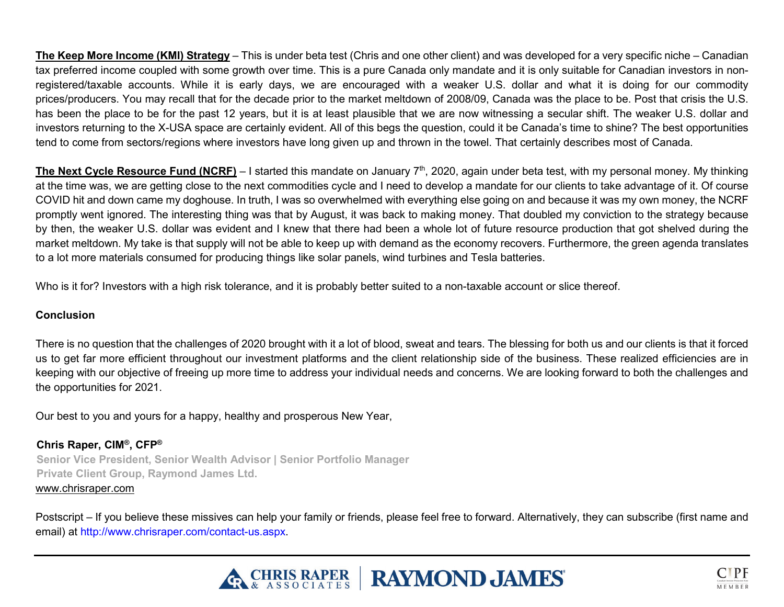**The Keep More Income (KMI) Strategy** – This is under beta test (Chris and one other client) and was developed for a very specific niche – Canadian tax preferred income coupled with some growth over time. This is a pure Canada only mandate and it is only suitable for Canadian investors in nonregistered/taxable accounts. While it is early days, we are encouraged with a weaker U.S. dollar and what it is doing for our commodity prices/producers. You may recall that for the decade prior to the market meltdown of 2008/09, Canada was the place to be. Post that crisis the U.S. has been the place to be for the past 12 years, but it is at least plausible that we are now witnessing a secular shift. The weaker U.S. dollar and investors returning to the X-USA space are certainly evident. All of this begs the question, could it be Canada's time to shine? The best opportunities tend to come from sectors/regions where investors have long given up and thrown in the towel. That certainly describes most of Canada.

**The Next Cycle Resource Fund (NCRF)** – I started this mandate on January 7<sup>th</sup>, 2020, again under beta test, with my personal money. My thinking at the time was, we are getting close to the next commodities cycle and I need to develop a mandate for our clients to take advantage of it. Of course COVID hit and down came my doghouse. In truth, I was so overwhelmed with everything else going on and because it was my own money, the NCRF promptly went ignored. The interesting thing was that by August, it was back to making money. That doubled my conviction to the strategy because by then, the weaker U.S. dollar was evident and I knew that there had been a whole lot of future resource production that got shelved during the market meltdown. My take is that supply will not be able to keep up with demand as the economy recovers. Furthermore, the green agenda translates to a lot more materials consumed for producing things like solar panels, wind turbines and Tesla batteries.

Who is it for? Investors with a high risk tolerance, and it is probably better suited to a non-taxable account or slice thereof.

## **Conclusion**

There is no question that the challenges of 2020 brought with it a lot of blood, sweat and tears. The blessing for both us and our clients is that it forced us to get far more efficient throughout our investment platforms and the client relationship side of the business. These realized efficiencies are in keeping with our objective of freeing up more time to address your individual needs and concerns. We are looking forward to both the challenges and the opportunities for 2021.

Our best to you and yours for a happy, healthy and prosperous New Year,

**Chris Raper, CIM®, CFP® Senior Vice President, Senior Wealth Advisor | Senior Portfolio Manager Private Client Group, Raymond James Ltd.**  [www.chrisraper.com](http://www.chrisraper.com/)

Postscript – If you believe these missives can help your family or friends, please feel free to forward. Alternatively, they can subscribe (first name and email) at [http://www.chrisraper.com/contact-us.aspx.](http://www.chrisraper.com/contact-us.aspx)